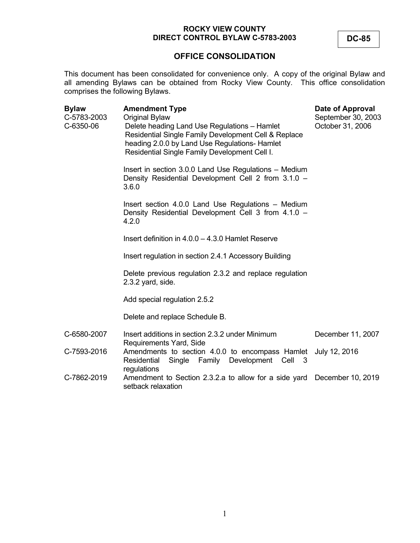**OFFICE CONSOLIDATION**

This document has been consolidated for convenience only. A copy of the original Bylaw and all amending Bylaws can be obtained from Rocky View County. This office consolidation comprises the following Bylaws.

| <b>Bylaw</b><br>C-5783-2003<br>C-6350-06 | <b>Amendment Type</b><br><b>Original Bylaw</b><br>Delete heading Land Use Regulations - Hamlet<br>Residential Single Family Development Cell & Replace<br>heading 2.0.0 by Land Use Regulations- Hamlet<br>Residential Single Family Development Cell I. | Date of Approval<br>September 30, 2003<br>October 31, 2006 |
|------------------------------------------|----------------------------------------------------------------------------------------------------------------------------------------------------------------------------------------------------------------------------------------------------------|------------------------------------------------------------|
|                                          | Insert in section 3.0.0 Land Use Regulations - Medium<br>Density Residential Development Cell 2 from 3.1.0 -<br>3.6.0                                                                                                                                    |                                                            |
|                                          | Insert section 4.0.0 Land Use Regulations - Medium<br>Density Residential Development Cell 3 from 4.1.0 -<br>4.2.0                                                                                                                                       |                                                            |
|                                          | Insert definition in $4.0.0 - 4.3.0$ Hamlet Reserve                                                                                                                                                                                                      |                                                            |
|                                          | Insert regulation in section 2.4.1 Accessory Building                                                                                                                                                                                                    |                                                            |
|                                          | Delete previous regulation 2.3.2 and replace regulation<br>2.3.2 yard, side.                                                                                                                                                                             |                                                            |
|                                          | Add special regulation 2.5.2                                                                                                                                                                                                                             |                                                            |
|                                          | Delete and replace Schedule B.                                                                                                                                                                                                                           |                                                            |
| C-6580-2007                              | Insert additions in section 2.3.2 under Minimum<br>Requirements Yard, Side                                                                                                                                                                               | December 11, 2007                                          |
| C-7593-2016                              | Amendments to section 4.0.0 to encompass Hamlet<br>Single Family Development Cell<br>Residential<br>- 3<br>regulations                                                                                                                                   | July 12, 2016                                              |
| C-7862-2019                              | Amendment to Section 2.3.2.a to allow for a side yard<br>setback relaxation                                                                                                                                                                              | December 10, 2019                                          |

**DC-85**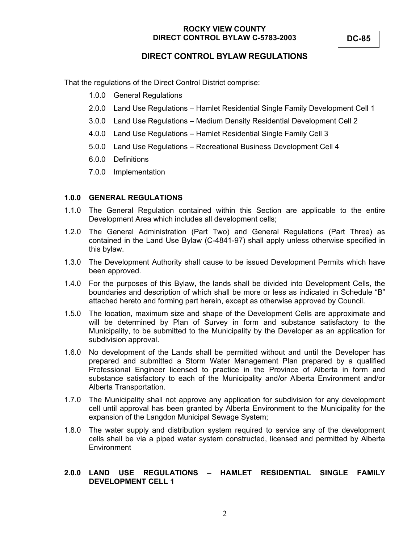# **DIRECT CONTROL BYLAW REGULATIONS**

That the regulations of the Direct Control District comprise:

- 1.0.0 General Regulations
- 2.0.0 Land Use Regulations Hamlet Residential Single Family Development Cell 1
- 3.0.0 Land Use Regulations Medium Density Residential Development Cell 2
- 4.0.0 Land Use Regulations Hamlet Residential Single Family Cell 3
- 5.0.0 Land Use Regulations Recreational Business Development Cell 4
- 6.0.0 Definitions
- 7.0.0 Implementation

#### **1.0.0 GENERAL REGULATIONS**

- 1.1.0 The General Regulation contained within this Section are applicable to the entire Development Area which includes all development cells;
- 1.2.0 The General Administration (Part Two) and General Regulations (Part Three) as contained in the Land Use Bylaw (C-4841-97) shall apply unless otherwise specified in this bylaw.
- 1.3.0 The Development Authority shall cause to be issued Development Permits which have been approved.
- 1.4.0 For the purposes of this Bylaw, the lands shall be divided into Development Cells, the boundaries and description of which shall be more or less as indicated in Schedule "B" attached hereto and forming part herein, except as otherwise approved by Council.
- 1.5.0 The location, maximum size and shape of the Development Cells are approximate and will be determined by Plan of Survey in form and substance satisfactory to the Municipality, to be submitted to the Municipality by the Developer as an application for subdivision approval.
- 1.6.0 No development of the Lands shall be permitted without and until the Developer has prepared and submitted a Storm Water Management Plan prepared by a qualified Professional Engineer licensed to practice in the Province of Alberta in form and substance satisfactory to each of the Municipality and/or Alberta Environment and/or Alberta Transportation.
- 1.7.0 The Municipality shall not approve any application for subdivision for any development cell until approval has been granted by Alberta Environment to the Municipality for the expansion of the Langdon Municipal Sewage System;
- 1.8.0 The water supply and distribution system required to service any of the development cells shall be via a piped water system constructed, licensed and permitted by Alberta **Environment**

### **2.0.0 LAND USE REGULATIONS – HAMLET RESIDENTIAL SINGLE FAMILY DEVELOPMENT CELL 1**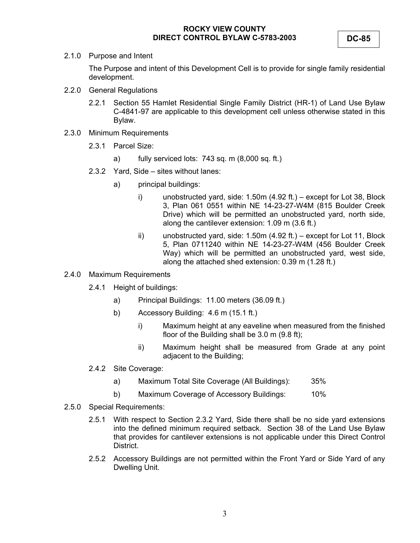2.1.0 Purpose and Intent

The Purpose and intent of this Development Cell is to provide for single family residential development.

- 2.2.0 General Regulations
	- 2.2.1 Section 55 Hamlet Residential Single Family District (HR-1) of Land Use Bylaw C-4841-97 are applicable to this development cell unless otherwise stated in this Bylaw.
- 2.3.0 Minimum Requirements
	- 2.3.1 Parcel Size:
		- a) fully serviced lots: 743 sq. m (8,000 sq. ft.)
	- 2.3.2 Yard, Side sites without lanes:
		- a) principal buildings:
			- i) unobstructed yard, side: 1.50m (4.92 ft.) except for Lot 38, Block 3, Plan 061 0551 within NE 14-23-27-W4M (815 Boulder Creek Drive) which will be permitted an unobstructed yard, north side, along the cantilever extension: 1.09 m (3.6 ft.)
			- ii) unobstructed yard, side: 1.50m (4.92 ft.) except for Lot 11, Block 5, Plan 0711240 within NE 14-23-27-W4M (456 Boulder Creek Way) which will be permitted an unobstructed yard, west side, along the attached shed extension: 0.39 m (1.28 ft.)
- 2.4.0 Maximum Requirements
	- 2.4.1 Height of buildings:
		- a) Principal Buildings: 11.00 meters (36.09 ft.)
		- b) Accessory Building: 4.6 m (15.1 ft.)
			- i) Maximum height at any eaveline when measured from the finished floor of the Building shall be 3.0 m (9.8 ft);
			- ii) Maximum height shall be measured from Grade at any point adjacent to the Building;
	- 2.4.2 Site Coverage:
		- a) Maximum Total Site Coverage (All Buildings): 35%
		- b) Maximum Coverage of Accessory Buildings: 10%
- 2.5.0 Special Requirements:
	- 2.5.1 With respect to Section 2.3.2 Yard, Side there shall be no side yard extensions into the defined minimum required setback. Section 38 of the Land Use Bylaw that provides for cantilever extensions is not applicable under this Direct Control District.
	- 2.5.2 Accessory Buildings are not permitted within the Front Yard or Side Yard of any Dwelling Unit.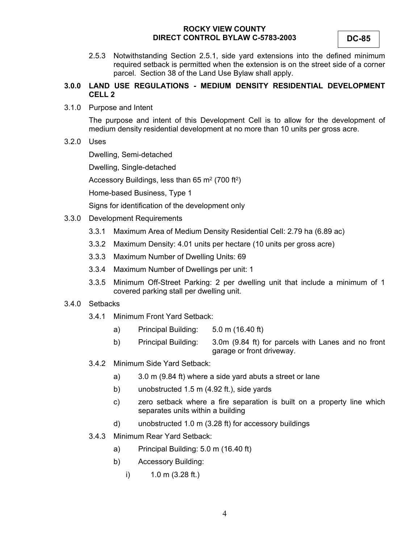2.5.3 Notwithstanding Section 2.5.1, side yard extensions into the defined minimum required setback is permitted when the extension is on the street side of a corner parcel. Section 38 of the Land Use Bylaw shall apply.

### **3.0.0 LAND USE REGULATIONS - MEDIUM DENSITY RESIDENTIAL DEVELOPMENT CELL 2**

3.1.0 Purpose and Intent

The purpose and intent of this Development Cell is to allow for the development of medium density residential development at no more than 10 units per gross acre.

3.2.0 Uses

Dwelling, Semi-detached

Dwelling, Single-detached

Accessory Buildings, less than 65  $m^2$  (700 ft<sup>2</sup>)

Home-based Business, Type 1

Signs for identification of the development only

- 3.3.0 Development Requirements
	- 3.3.1 Maximum Area of Medium Density Residential Cell: 2.79 ha (6.89 ac)
	- 3.3.2 Maximum Density: 4.01 units per hectare (10 units per gross acre)
	- 3.3.3 Maximum Number of Dwelling Units: 69
	- 3.3.4 Maximum Number of Dwellings per unit: 1
	- 3.3.5 Minimum Off-Street Parking: 2 per dwelling unit that include a minimum of 1 covered parking stall per dwelling unit.

#### 3.4.0 Setbacks

- 3.4.1 Minimum Front Yard Setback:
	- a) Principal Building: 5.0 m (16.40 ft)
	- b) Principal Building: 3.0m (9.84 ft) for parcels with Lanes and no front garage or front driveway.
- 3.4.2 Minimum Side Yard Setback:
	- a) 3.0 m (9.84 ft) where a side yard abuts a street or lane
	- b) unobstructed 1.5 m (4.92 ft.), side yards
	- c) zero setback where a fire separation is built on a property line which separates units within a building
	- d) unobstructed 1.0 m (3.28 ft) for accessory buildings
- 3.4.3 Minimum Rear Yard Setback:
	- a) Principal Building: 5.0 m (16.40 ft)
	- b) Accessory Building:
		- i) 1.0 m (3.28 ft.)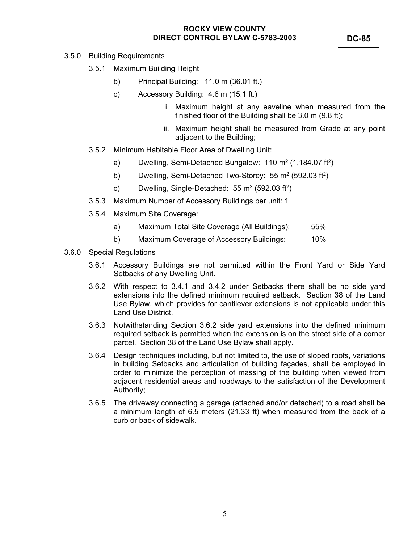**DC-85** 

- 3.5.0 Building Requirements
	- 3.5.1 Maximum Building Height
		- b) Principal Building: 11.0 m (36.01 ft.)
		- c) Accessory Building: 4.6 m (15.1 ft.)
			- i. Maximum height at any eaveline when measured from the finished floor of the Building shall be 3.0 m (9.8 ft);
			- ii. Maximum height shall be measured from Grade at any point adjacent to the Building;
	- 3.5.2 Minimum Habitable Floor Area of Dwelling Unit:
		- a) Dwelling, Semi-Detached Bungalow:  $110 \text{ m}^2 (1,184.07 \text{ ft}^2)$
		- b) Dwelling, Semi-Detached Two-Storey:  $55 \text{ m}^2$  (592.03 ft<sup>2</sup>)
		- c) Dwelling, Single-Detached:  $55 \text{ m}^2$  (592.03 ft<sup>2</sup>)
	- 3.5.3 Maximum Number of Accessory Buildings per unit: 1
	- 3.5.4 Maximum Site Coverage:
		- a) Maximum Total Site Coverage (All Buildings): 55%
		- b) Maximum Coverage of Accessory Buildings: 10%
- 3.6.0 Special Regulations
	- 3.6.1 Accessory Buildings are not permitted within the Front Yard or Side Yard Setbacks of any Dwelling Unit.
	- 3.6.2 With respect to 3.4.1 and 3.4.2 under Setbacks there shall be no side yard extensions into the defined minimum required setback. Section 38 of the Land Use Bylaw, which provides for cantilever extensions is not applicable under this Land Use District.
	- 3.6.3 Notwithstanding Section 3.6.2 side yard extensions into the defined minimum required setback is permitted when the extension is on the street side of a corner parcel. Section 38 of the Land Use Bylaw shall apply.
	- 3.6.4 Design techniques including, but not limited to, the use of sloped roofs, variations in building Setbacks and articulation of building façades, shall be employed in order to minimize the perception of massing of the building when viewed from adjacent residential areas and roadways to the satisfaction of the Development Authority;
	- 3.6.5 The driveway connecting a garage (attached and/or detached) to a road shall be a minimum length of 6.5 meters (21.33 ft) when measured from the back of a curb or back of sidewalk.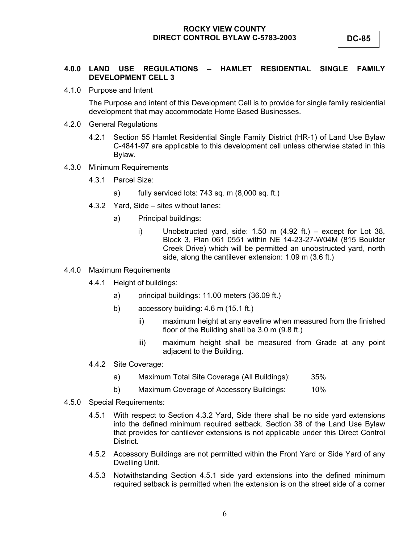#### **4.0.0 LAND USE REGULATIONS – HAMLET RESIDENTIAL SINGLE FAMILY DEVELOPMENT CELL 3**

4.1.0 Purpose and Intent

The Purpose and intent of this Development Cell is to provide for single family residential development that may accommodate Home Based Businesses.

- 4.2.0 General Regulations
	- 4.2.1 Section 55 Hamlet Residential Single Family District (HR-1) of Land Use Bylaw C-4841-97 are applicable to this development cell unless otherwise stated in this Bylaw.
- 4.3.0 Minimum Requirements
	- 4.3.1 Parcel Size:
		- a) fully serviced lots: 743 sq. m (8,000 sq. ft.)
	- 4.3.2 Yard, Side sites without lanes:
		- a) Principal buildings:
			- i) Unobstructed yard, side: 1.50 m (4.92 ft.) except for Lot 38, Block 3, Plan 061 0551 within NE 14-23-27-W04M (815 Boulder Creek Drive) which will be permitted an unobstructed yard, north side, along the cantilever extension: 1.09 m (3.6 ft.)
- 4.4.0 Maximum Requirements
	- 4.4.1 Height of buildings:
		- a) principal buildings: 11.00 meters (36.09 ft.)
		- b) accessory building: 4.6 m (15.1 ft.)
			- ii) maximum height at any eaveline when measured from the finished floor of the Building shall be 3.0 m (9.8 ft.)
			- iii) maximum height shall be measured from Grade at any point adjacent to the Building.
	- 4.4.2 Site Coverage:
		- a) Maximum Total Site Coverage (All Buildings): 35%
		- b) Maximum Coverage of Accessory Buildings: 10%
- 4.5.0 Special Requirements:
	- 4.5.1 With respect to Section 4.3.2 Yard, Side there shall be no side yard extensions into the defined minimum required setback. Section 38 of the Land Use Bylaw that provides for cantilever extensions is not applicable under this Direct Control District.
	- 4.5.2 Accessory Buildings are not permitted within the Front Yard or Side Yard of any Dwelling Unit.
	- 4.5.3 Notwithstanding Section 4.5.1 side yard extensions into the defined minimum required setback is permitted when the extension is on the street side of a corner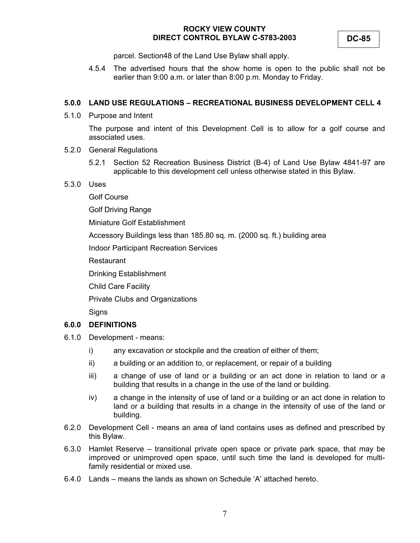parcel. Section48 of the Land Use Bylaw shall apply.

4.5.4 The advertised hours that the show home is open to the public shall not be earlier than 9:00 a.m. or later than 8:00 p.m. Monday to Friday.

#### **5.0.0 LAND USE REGULATIONS – RECREATIONAL BUSINESS DEVELOPMENT CELL 4**

5.1.0 Purpose and Intent

The purpose and intent of this Development Cell is to allow for a golf course and associated uses.

- 5.2.0 General Regulations
	- 5.2.1 Section 52 Recreation Business District (B-4) of Land Use Bylaw 4841-97 are applicable to this development cell unless otherwise stated in this Bylaw.
- 5.3.0 Uses

Golf Course

Golf Driving Range

Miniature Golf Establishment

Accessory Buildings less than 185.80 sq. m. (2000 sq. ft.) building area

Indoor Participant Recreation Services

Restaurant

Drinking Establishment

Child Care Facility

Private Clubs and Organizations

**Signs** 

#### **6.0.0 DEFINITIONS**

- 6.1.0 Development means:
	- i) any excavation or stockpile and the creation of either of them;
	- ii) a building or an addition to, or replacement, or repair of a building
	- iii) a change of use of land or a building or an act done in relation to land or a building that results in a change in the use of the land or building.
	- iv) a change in the intensity of use of land or a building or an act done in relation to land or a building that results in a change in the intensity of use of the land or building.
- 6.2.0 Development Cell means an area of land contains uses as defined and prescribed by this Bylaw.
- 6.3.0 Hamlet Reserve transitional private open space or private park space, that may be improved or unimproved open space, until such time the land is developed for multifamily residential or mixed use.
- 6.4.0 Lands means the lands as shown on Schedule 'A' attached hereto.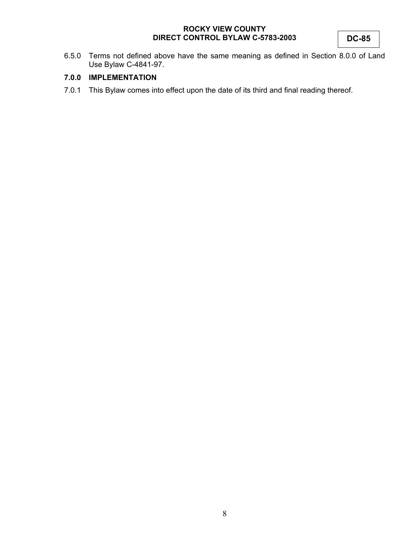6.5.0 Terms not defined above have the same meaning as defined in Section 8.0.0 of Land Use Bylaw C-4841-97.

## **7.0.0 IMPLEMENTATION**

7.0.1 This Bylaw comes into effect upon the date of its third and final reading thereof.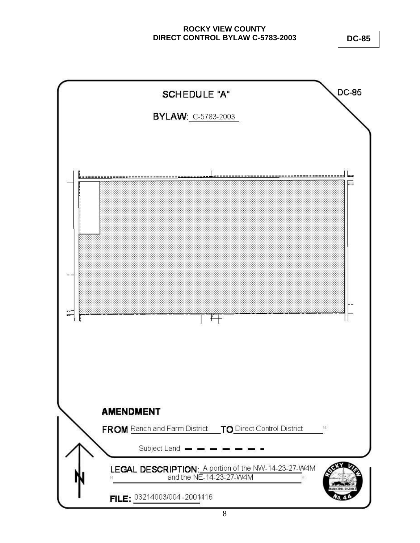**DC-85**